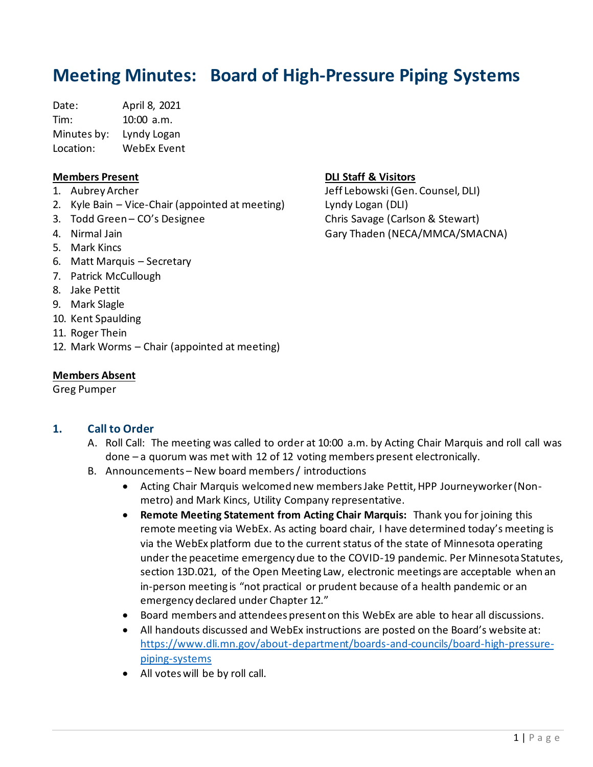# **Meeting Minutes: Board of High-Pressure Piping Systems**

Date: April 8, 2021 Tim: 10:00 a.m. Minutes by: Lyndy Logan Location: WebEx Event

#### **Members Present**

- 1. Aubrey Archer
- 2. Kyle Bain Vice-Chair (appointed at meeting)
- 3. Todd Green CO's Designee
- 4. Nirmal Jain
- 5. Mark Kincs
- 6. Matt Marquis Secretary
- 7. Patrick McCullough
- 8. Jake Pettit
- 9. Mark Slagle
- 10. Kent Spaulding
- 11. Roger Thein
- 12. Mark Worms Chair (appointed at meeting)

#### **Members Absent**

Greg Pumper

#### **1. Call to Order**

- A. Roll Call: The meeting was called to order at 10:00 a.m. by Acting Chair Marquis and roll call was done – a quorum was met with 12 of 12 voting members present electronically.
- B. Announcements New board members / introductions
	- Acting Chair Marquis welcomed new membersJake Pettit, HPP Journeyworker (Nonmetro) and Mark Kincs, Utility Company representative.
	- **Remote Meeting Statement from Acting Chair Marquis:** Thank you for joining this remote meeting via WebEx. As acting board chair, I have determined today's meeting is via the WebEx platform due to the current status of the state of Minnesota operating under the peacetime emergency due to the COVID-19 pandemic. Per Minnesota Statutes, section 13D.021, of the Open Meeting Law, electronic meetings are acceptable when an in-person meeting is "not practical or prudent because of a health pandemic or an emergency declared under Chapter 12."
	- Board members and attendees present on this WebEx are able to hear all discussions.
	- All handouts discussed and WebEx instructions are posted on the Board's website at: [https://www.dli.mn.gov/about-department/boards-and-councils/board-high-pressure](https://www.dli.mn.gov/about-department/boards-and-councils/board-high-pressure-piping-systems)[piping-systems](https://www.dli.mn.gov/about-department/boards-and-councils/board-high-pressure-piping-systems)
	- All votes will be by roll call.

## **DLI Staff & Visitors**

Jeff Lebowski (Gen. Counsel, DLI) Lyndy Logan (DLI) Chris Savage (Carlson & Stewart) Gary Thaden (NECA/MMCA/SMACNA)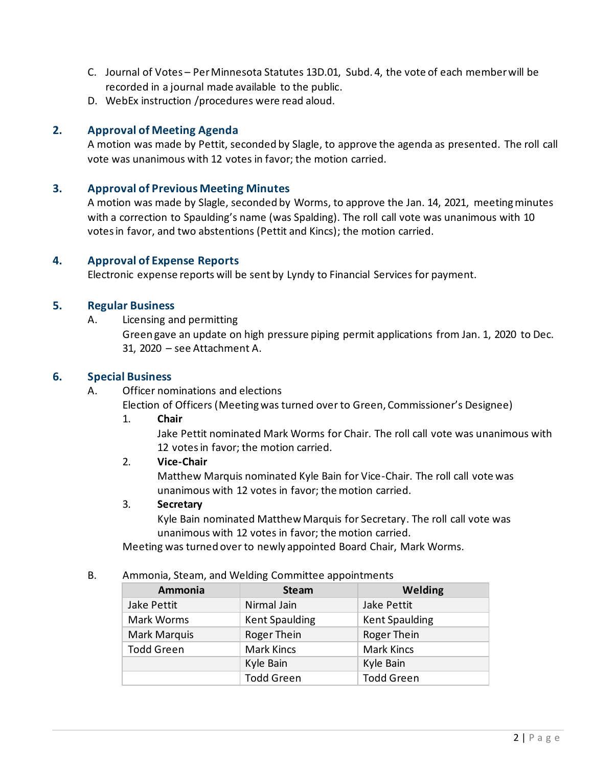- C. Journal of Votes Per Minnesota Statutes 13D.01, Subd. 4, the vote of each member will be recorded in a journal made available to the public.
- D. WebEx instruction /procedures were read aloud.

### **2. Approval of Meeting Agenda**

A motion was made by Pettit, seconded by Slagle, to approve the agenda as presented. The roll call vote was unanimous with 12 votes in favor; the motion carried.

#### **3. Approval of Previous Meeting Minutes**

A motion was made by Slagle, seconded by Worms, to approve the Jan. 14, 2021, meeting minutes with a correction to Spaulding's name (was Spalding). The roll call vote was unanimous with 10 votes in favor, and two abstentions (Pettit and Kincs); the motion carried.

#### **4. Approval of Expense Reports**

Electronic expense reports will be sent by Lyndy to Financial Services for payment.

#### **5. Regular Business**

A. Licensing and permitting

Green gave an update on high pressure piping permit applications from Jan. 1, 2020 to Dec. 31, 2020 – see Attachment A.

#### **6. Special Business**

A. Officer nominations and elections

Election of Officers (Meeting was turned over to Green, Commissioner's Designee)

1. **Chair**

Jake Pettit nominated Mark Worms for Chair. The roll call vote was unanimous with 12 votesin favor; the motion carried.

#### 2. **Vice-Chair**

Matthew Marquis nominated Kyle Bain for Vice-Chair. The roll call vote was unanimous with 12 votes in favor; the motion carried.

#### 3. **Secretary**

Kyle Bain nominated Matthew Marquis for Secretary. The roll call vote was unanimous with 12 votes in favor; the motion carried.

Meeting was turned over to newly appointed Board Chair, Mark Worms.

#### B. Ammonia, Steam, and Welding Committee appointments

| Ammonia           | <b>Steam</b>          | Welding               |
|-------------------|-----------------------|-----------------------|
| Jake Pettit       | Nirmal Jain           | Jake Pettit           |
| Mark Worms        | <b>Kent Spaulding</b> | <b>Kent Spaulding</b> |
| Mark Marquis      | Roger Thein           | Roger Thein           |
| <b>Todd Green</b> | <b>Mark Kincs</b>     | <b>Mark Kincs</b>     |
|                   | Kyle Bain             | Kyle Bain             |
|                   | <b>Todd Green</b>     | <b>Todd Green</b>     |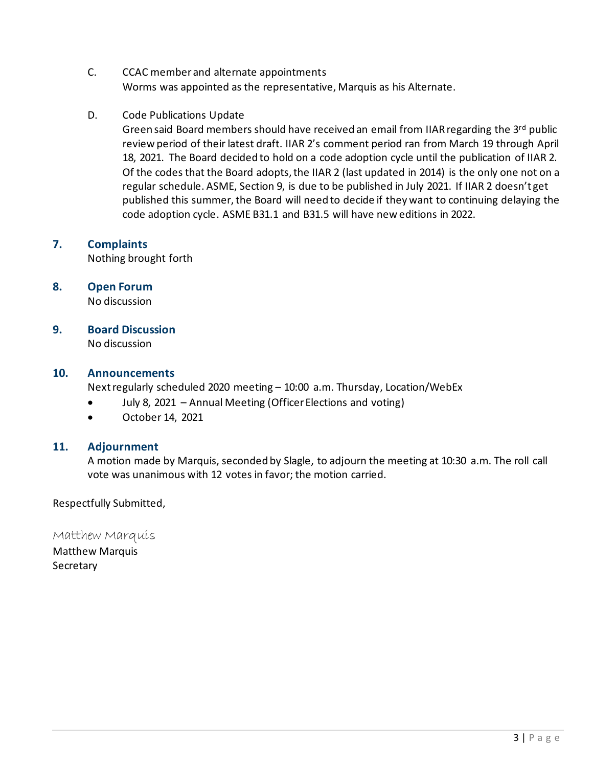- C. CCAC member and alternate appointments Worms was appointed as the representative, Marquis as his Alternate.
- D. Code Publications Update

Green said Board members should have received an email from IIAR regarding the 3rd public review period of their latest draft. IIAR 2's comment period ran from March 19 through April 18, 2021. The Board decided to hold on a code adoption cycle until the publication of IIAR 2. Of the codes that the Board adopts, the IIAR 2 (last updated in 2014) is the only one not on a regular schedule. ASME, Section 9, is due to be published in July 2021. If IIAR 2 doesn't get published this summer, the Board will need to decide if they want to continuing delaying the code adoption cycle. ASME B31.1 and B31.5 will have new editions in 2022.

# **7. Complaints**

Nothing brought forth

## **8. Open Forum**

No discussion

**9. Board Discussion**

No discussion

### **10. Announcements**

Next regularly scheduled 2020 meeting – 10:00 a.m. Thursday, Location/WebEx

- July 8, 2021 Annual Meeting (Officer Elections and voting)
- October 14, 2021

# **11. Adjournment**

A motion made by Marquis, seconded by Slagle, to adjourn the meeting at 10:30 a.m. The roll call vote was unanimous with 12 votes in favor; the motion carried.

Respectfully Submitted,

Matthew Marquis

Matthew Marquis **Secretary**